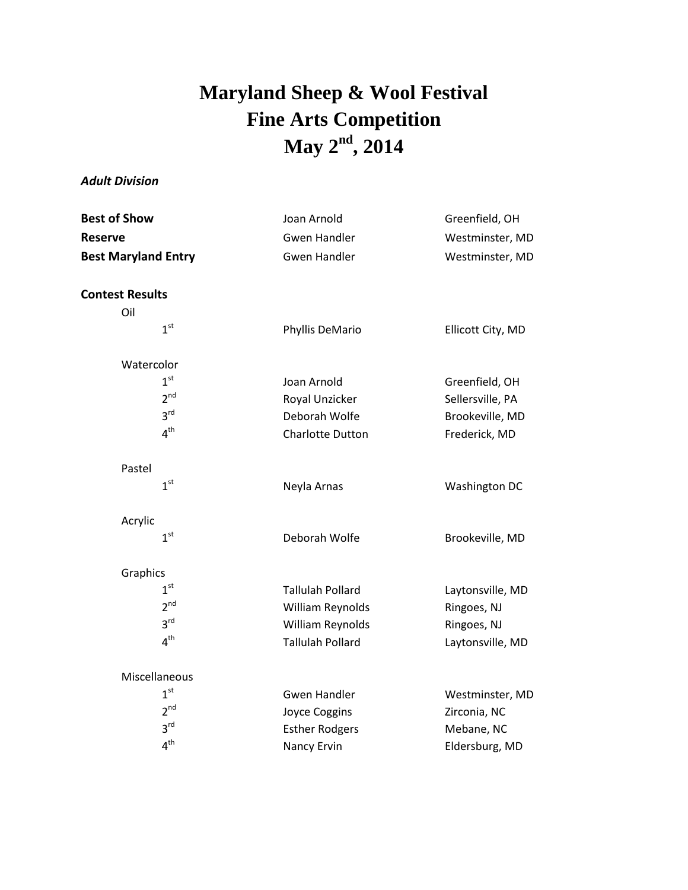## **Maryland Sheep & Wool Festival Fine Arts Competition May 2 nd , 2014**

## *Adult Division*

| <b>Best of Show</b><br>Reserve<br><b>Best Maryland Entry</b> | Joan Arnold<br><b>Gwen Handler</b><br><b>Gwen Handler</b> | Greenfield, OH<br>Westminster, MD<br>Westminster, MD |                        |  |  |
|--------------------------------------------------------------|-----------------------------------------------------------|------------------------------------------------------|------------------------|--|--|
|                                                              |                                                           |                                                      | <b>Contest Results</b> |  |  |
|                                                              |                                                           |                                                      | Oil                    |  |  |
| 1 <sup>st</sup>                                              | Phyllis DeMario                                           | Ellicott City, MD                                    |                        |  |  |
| Watercolor                                                   |                                                           |                                                      |                        |  |  |
| 1 <sup>st</sup>                                              | Joan Arnold                                               | Greenfield, OH                                       |                        |  |  |
| 2 <sup>nd</sup>                                              | Royal Unzicker                                            | Sellersville, PA                                     |                        |  |  |
| 3 <sup>rd</sup>                                              | Deborah Wolfe                                             | Brookeville, MD                                      |                        |  |  |
| 4 <sup>th</sup>                                              | <b>Charlotte Dutton</b>                                   | Frederick, MD                                        |                        |  |  |
| Pastel                                                       |                                                           |                                                      |                        |  |  |
| 1 <sup>st</sup>                                              | Neyla Arnas                                               | Washington DC                                        |                        |  |  |
| Acrylic                                                      |                                                           |                                                      |                        |  |  |
| 1 <sup>st</sup>                                              | Deborah Wolfe                                             | Brookeville, MD                                      |                        |  |  |
| Graphics                                                     |                                                           |                                                      |                        |  |  |
| 1 <sup>st</sup>                                              | <b>Tallulah Pollard</b>                                   | Laytonsville, MD                                     |                        |  |  |
| 2 <sup>nd</sup>                                              | William Reynolds                                          | Ringoes, NJ                                          |                        |  |  |
| 3 <sup>rd</sup>                                              | William Reynolds                                          | Ringoes, NJ                                          |                        |  |  |
| 4 <sup>th</sup>                                              | <b>Tallulah Pollard</b>                                   | Laytonsville, MD                                     |                        |  |  |
| Miscellaneous                                                |                                                           |                                                      |                        |  |  |
| 1 <sup>st</sup>                                              | <b>Gwen Handler</b>                                       | Westminster, MD                                      |                        |  |  |
| 2 <sup>nd</sup>                                              | Joyce Coggins                                             | Zirconia, NC                                         |                        |  |  |
| 3 <sup>rd</sup>                                              | <b>Esther Rodgers</b>                                     | Mebane, NC                                           |                        |  |  |
| 4 <sup>th</sup>                                              | Nancy Ervin                                               | Eldersburg, MD                                       |                        |  |  |